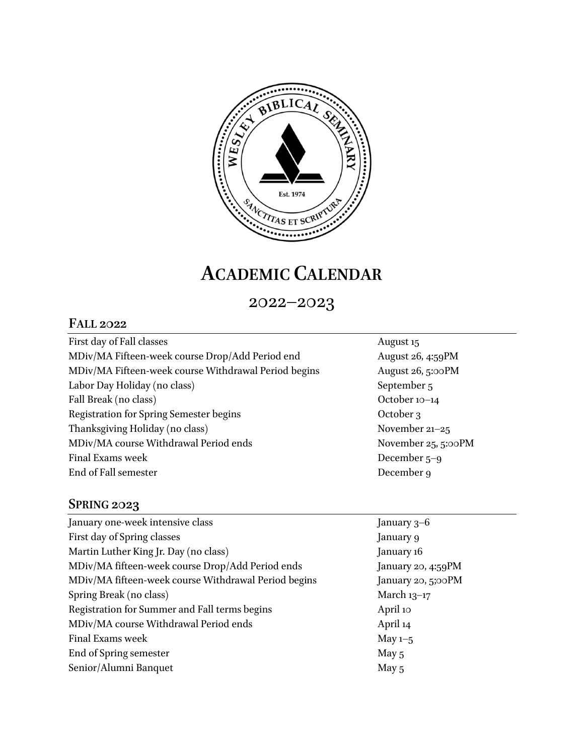

## **ACADEMIC CALENDAR**

2022–2023

## **FALL 2022**

| First day of Fall classes                            |
|------------------------------------------------------|
| MDiv/MA Fifteen-week course Drop/Add Period end      |
| MDiv/MA Fifteen-week course Withdrawal Period begins |
| Labor Day Holiday (no class)                         |
| Fall Break (no class)                                |
| <b>Registration for Spring Semester begins</b>       |
| Thanksgiving Holiday (no class)                      |
| MDiv/MA course Withdrawal Period ends                |
| Final Exams week                                     |
| End of Fall semester                                 |

August 15 August 26, 4:59PM August 26, 5:00PM September 5 October 10–14 October 3 November 21–25 November 25, 5:00PM December 5–9 December 9

## **SPRING 2023**

| January one-week intensive class                     | January $3-6$      |
|------------------------------------------------------|--------------------|
| First day of Spring classes                          | January 9          |
| Martin Luther King Jr. Day (no class)                | January 16         |
| MDiv/MA fifteen-week course Drop/Add Period ends     | January 20, 4:59PM |
| MDiv/MA fifteen-week course Withdrawal Period begins | January 20, 5;00PM |
| Spring Break (no class)                              | March $13-17$      |
| Registration for Summer and Fall terms begins        | April 10           |
| MDiv/MA course Withdrawal Period ends                | April 14           |
| Final Exams week                                     | May $1-5$          |
| End of Spring semester                               | May $5$            |
| Senior/Alumni Banquet                                | May 5              |
|                                                      |                    |